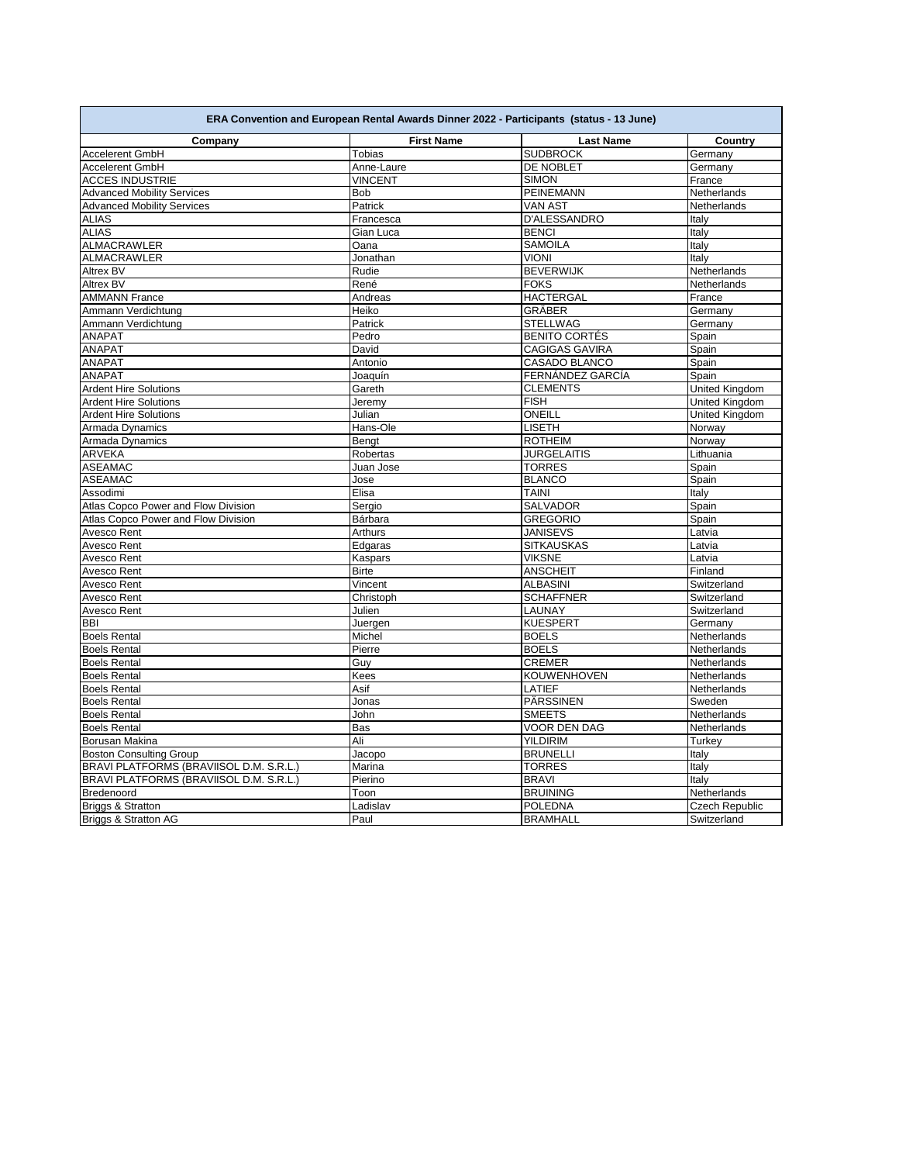| ERA Convention and European Rental Awards Dinner 2022 - Participants (status - 13 June) |                   |                       |                       |
|-----------------------------------------------------------------------------------------|-------------------|-----------------------|-----------------------|
| Company                                                                                 | <b>First Name</b> | <b>Last Name</b>      | Country               |
| Accelerent GmbH                                                                         | <b>Tobias</b>     | <b>SUDBROCK</b>       | Germany               |
| Accelerent GmbH                                                                         | Anne-Laure        | DE NOBLET             | Germany               |
| <b>ACCES INDUSTRIE</b>                                                                  | <b>VINCENT</b>    | <b>SIMON</b>          | France                |
| <b>Advanced Mobility Services</b>                                                       | <b>Bob</b>        | <b>PEINEMANN</b>      | Netherlands           |
| <b>Advanced Mobility Services</b>                                                       | Patrick           | <b>VAN AST</b>        | Netherlands           |
| <b>ALIAS</b>                                                                            | Francesca         | D'ALESSANDRO          | Italy                 |
| <b>ALIAS</b>                                                                            | Gian Luca         | <b>BENCI</b>          | Italy                 |
| ALMACRAWLER                                                                             | Oana              | <b>SAMOILA</b>        | Italy                 |
| ALMACRAWLER                                                                             | Jonathan          | <b>VIONI</b>          | Italy                 |
| Altrex BV                                                                               | Rudie             | <b>BEVERWIJK</b>      | Netherlands           |
| Altrex BV                                                                               | René              | <b>FOKS</b>           | Netherlands           |
| <b>AMMANN France</b>                                                                    | Andreas           | <b>HACTERGAL</b>      | France                |
| Ammann Verdichtung                                                                      | Heiko             | GRÄBER                | Germany               |
| Ammann Verdichtung                                                                      | Patrick           | <b>STELLWAG</b>       | Germany               |
| <b>ANAPAT</b>                                                                           | Pedro             | <b>BENITO CORTÉS</b>  | Spain                 |
| <b>ANAPAT</b>                                                                           | David             | <b>CAGIGAS GAVIRA</b> | Spain                 |
| <b>ANAPAT</b>                                                                           | Antonio           | CASADO BLANCO         | Spain                 |
| <b>ANAPAT</b>                                                                           | Joaquín           | FERNÁNDEZ GARCÍA      | Spain                 |
| <b>Ardent Hire Solutions</b>                                                            | Gareth            | <b>CLEMENTS</b>       | United Kingdom        |
| <b>Ardent Hire Solutions</b>                                                            | Jeremy            | <b>FISH</b>           | United Kingdom        |
| <b>Ardent Hire Solutions</b>                                                            | Julian            | ONEILL                | United Kingdom        |
| Armada Dynamics                                                                         | Hans-Ole          | <b>LISETH</b>         | Norway                |
| Armada Dynamics                                                                         | Bengt             | <b>ROTHEIM</b>        | Norway                |
| ARVEKA                                                                                  | Robertas          | <b>JURGELAITIS</b>    | Lithuania             |
| <b>ASEAMAC</b>                                                                          | Juan Jose         | <b>TORRES</b>         | Spain                 |
| <b>ASEAMAC</b>                                                                          | Jose              | <b>BLANCO</b>         | Spain                 |
| Assodimi                                                                                | Elisa             | <b>TAINI</b>          | Italy                 |
| Atlas Copco Power and Flow Division                                                     | Sergio            | <b>SALVADOR</b>       | Spain                 |
| Atlas Copco Power and Flow Division                                                     | Bárbara           | <b>GREGORIO</b>       |                       |
| Avesco Rent                                                                             | Arthurs           | <b>JANISEVS</b>       | Spain<br>Latvia       |
| Avesco Rent                                                                             | Edgaras           | <b>SITKAUSKAS</b>     | Latvia                |
|                                                                                         |                   |                       |                       |
| Avesco Rent                                                                             | Kaspars           | <b>VIKSNE</b>         | Latvia<br>Finland     |
| Avesco Rent                                                                             | <b>Birte</b>      | <b>ANSCHEIT</b>       |                       |
| Avesco Rent                                                                             | Vincent           | <b>ALBASINI</b>       | Switzerland           |
| Avesco Rent                                                                             | Christoph         | <b>SCHAFFNER</b>      | Switzerland           |
| Avesco Rent                                                                             | Julien            | LAUNAY                | Switzerland           |
| <b>BBI</b>                                                                              | Juergen           | <b>KUESPERT</b>       | Germany               |
| <b>Boels Rental</b>                                                                     | Michel            | <b>BOELS</b>          | Netherlands           |
| <b>Boels Rental</b>                                                                     | Pierre            | <b>BOELS</b>          | Netherlands           |
| <b>Boels Rental</b>                                                                     | Guy               | <b>CREMER</b>         | Netherlands           |
| <b>Boels Rental</b>                                                                     | Kees              | <b>KOUWENHOVEN</b>    | Netherlands           |
| <b>Boels Rental</b>                                                                     | Asif              | <b>LATIEF</b>         | Netherlands           |
| <b>Boels Rental</b>                                                                     | Jonas             | PÄRSSINEN             | Sweden                |
| <b>Boels Rental</b>                                                                     | John              | <b>SMEETS</b>         | Netherlands           |
| <b>Boels Rental</b>                                                                     | Bas               | <b>VOOR DEN DAG</b>   | Netherlands           |
| Borusan Makina                                                                          | Ali               | <b>YILDIRIM</b>       | Turkey                |
| <b>Boston Consulting Group</b>                                                          | Jacopo            | <b>BRUNELLI</b>       | Italy                 |
| BRAVI PLATFORMS (BRAVIISOL D.M. S.R.L.)                                                 | Marina            | <b>TORRES</b>         | Italy                 |
| BRAVI PLATFORMS (BRAVIISOL D.M. S.R.L.)                                                 | Pierino           | <b>BRAVI</b>          | Italy                 |
| Bredenoord                                                                              | Toon              | <b>BRUINING</b>       | Netherlands           |
| Briggs & Stratton                                                                       | Ladislav          | <b>POLEDNA</b>        | <b>Czech Republic</b> |
| <b>Briggs &amp; Stratton AG</b>                                                         | Paul              | <b>BRAMHALL</b>       | Switzerland           |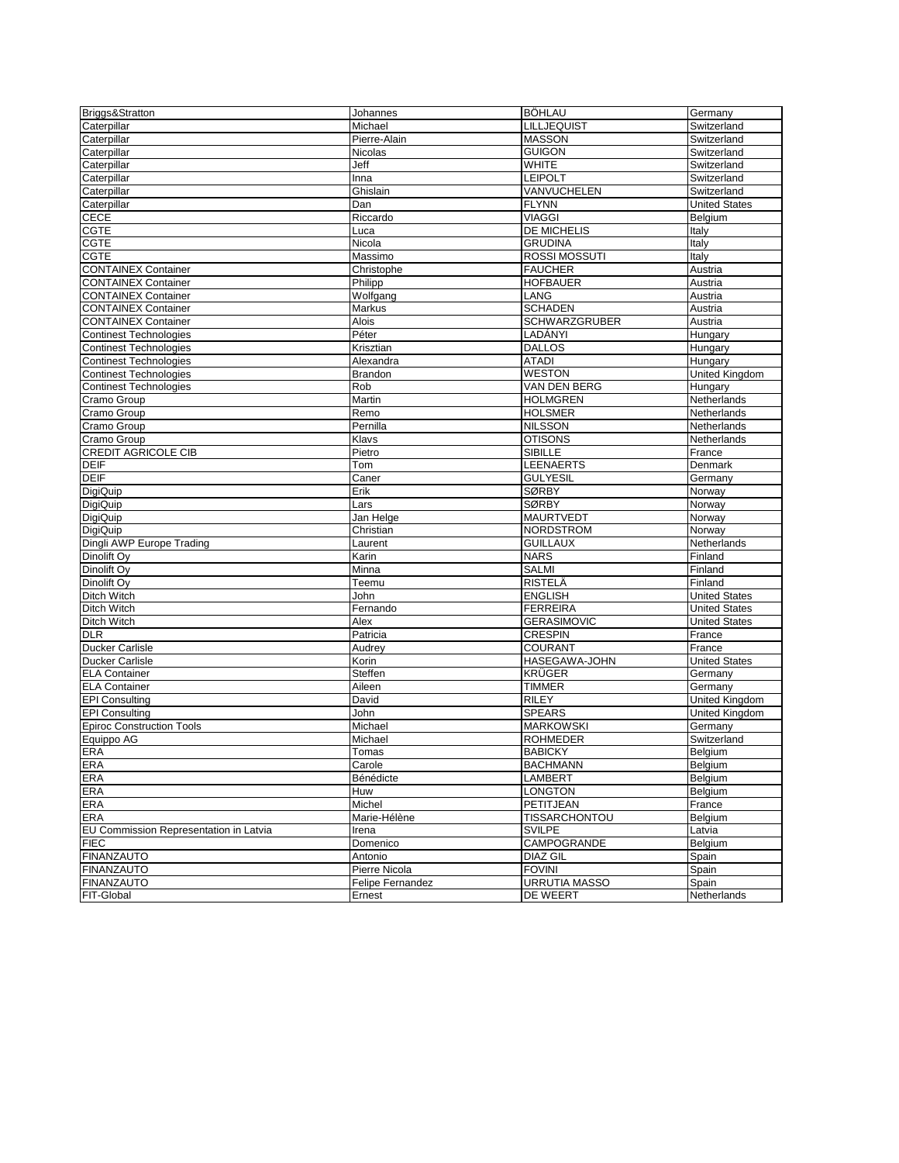| Briggs&Stratton                        | Johannes         | <b>BÖHLAU</b>        | Germany              |
|----------------------------------------|------------------|----------------------|----------------------|
| Caterpillar                            | Michael          | LILLJEQUIST          | Switzerland          |
| Caterpillar                            | Pierre-Alain     | <b>MASSON</b>        | Switzerland          |
| Caterpillar                            | Nicolas          | <b>GUIGON</b>        | Switzerland          |
| Caterpillar                            | Jeff             | <b>WHITE</b>         | Switzerland          |
| Caterpillar                            | Inna             | <b>LEIPOLT</b>       | Switzerland          |
| Caterpillar                            | Ghislain         | VANVUCHELEN          | Switzerland          |
| Caterpillar                            | Dan              | <b>FLYNN</b>         | <b>United States</b> |
| <b>CECE</b>                            | Riccardo         | <b>VIAGGI</b>        | Belgium              |
| <b>CGTE</b>                            | Luca             | DE MICHELIS          | Italy                |
| <b>CGTE</b>                            | Nicola           | <b>GRUDINA</b>       | Italy                |
| <b>CGTE</b>                            | Massimo          | ROSSI MOSSUTI        | Italy                |
| <b>CONTAINEX Container</b>             | Christophe       | <b>FAUCHER</b>       | Austria              |
| <b>CONTAINEX Container</b>             | Philipp          | <b>HOFBAUER</b>      | Austria              |
| <b>CONTAINEX Container</b>             | Wolfgang         | LANG                 | Austria              |
|                                        |                  | <b>SCHADEN</b>       |                      |
| <b>CONTAINEX Container</b>             | Markus           |                      | Austria              |
| <b>CONTAINEX Container</b>             | Alois            | SCHWARZGRUBER        | Austria              |
| <b>Continest Technologies</b>          | Péter            | LADÁNYI              | Hungary              |
| <b>Continest Technologies</b>          | Krisztian        | <b>DALLOS</b>        | Hungary              |
| <b>Continest Technologies</b>          | Alexandra        | <b>ATADI</b>         | Hungary              |
| Continest Technologies                 | Brandon          | <b>WESTON</b>        | United Kingdom       |
| <b>Continest Technologies</b>          | Rob              | VAN DEN BERG         | Hungary              |
| Cramo Group                            | Martin           | <b>HOLMGREN</b>      | Netherlands          |
| Cramo Group                            | Remo             | <b>HOLSMER</b>       | Netherlands          |
| Cramo Group                            | Pernilla         | <b>NILSSON</b>       | Netherlands          |
| Cramo Group                            | Klavs            | <b>OTISONS</b>       | Netherlands          |
| <b>CREDIT AGRICOLE CIB</b>             | Pietro           | <b>SIBILLE</b>       | France               |
| <b>DEIF</b>                            | Tom              | <b>LEENAERTS</b>     | Denmark              |
| <b>DEIF</b>                            | Caner            | <b>GULYESIL</b>      | Germany              |
| <b>DigiQuip</b>                        | Erik             | <b>SØRBY</b>         | Norway               |
| <b>DigiQuip</b>                        | Lars             | <b>SØRBY</b>         | Norway               |
| DigiQuip                               | Jan Helge        | <b>MAURTVEDT</b>     | Norway               |
| DigiQuip                               | Christian        | NORDSTROM            | Norway               |
| Dingli AWP Europe Trading              | Laurent          | <b>GUILLAUX</b>      | Netherlands          |
| Dinolift Oy                            | Karin            | <b>NARS</b>          | Finland              |
| Dinolift Ov                            | Minna            | <b>SALMI</b>         | Finland              |
| Dinolift Ov                            | Teemu            | RISTELÄ              | Finland              |
| Ditch Witch                            | John             | <b>ENGLISH</b>       | <b>United States</b> |
| Ditch Witch                            | Fernando         | <b>FERREIRA</b>      | <b>United States</b> |
| Ditch Witch                            |                  |                      |                      |
|                                        | Alex             | <b>GERASIMOVIC</b>   | <b>United States</b> |
| <b>DLR</b>                             | Patricia         | <b>CRESPIN</b>       | France               |
| <b>Ducker Carlisle</b>                 | Audrey           | COURANT              | France               |
| Ducker Carlisle                        | Korin            | HASEGAWA-JOHN        | <b>United States</b> |
| <b>ELA Container</b>                   | Steffen          | <b>KRÜGER</b>        | Germany              |
| <b>ELA Container</b>                   | Aileen           | <b>TIMMER</b>        | Germany              |
| <b>EPI Consulting</b>                  | David            | <b>RILEY</b>         | United Kingdom       |
| <b>EPI</b> Consulting                  | John             | <b>SPEARS</b>        | United Kingdom       |
| <b>Epiroc Construction Tools</b>       | Michael          | <b>MARKOWSKI</b>     | Germany              |
| Equippo AG                             | Michael          | <b>ROHMEDER</b>      | Switzerland          |
| ERA                                    | Tomas            | <b>BABICKY</b>       | Belgium              |
| <b>ERA</b>                             | Carole           | <b>BACHMANN</b>      | Belgium              |
| ERA                                    | Bénédicte        | <b>LAMBERT</b>       | Belgium              |
| <b>ERA</b>                             | Huw              | LONGTON              | Belaium              |
| <b>ERA</b>                             | Michel           | PETITJEAN            | France               |
| <b>ERA</b>                             | Marie-Hélène     | <b>TISSARCHONTOU</b> | Belgium              |
| EU Commission Representation in Latvia | Irena            | <b>SVILPE</b>        | Latvia               |
| <b>FIEC</b>                            | Domenico         | CAMPOGRANDE          | Belgium              |
| <b>FINANZAUTO</b>                      | Antonio          | DIAZ GIL             | Spain                |
| <b>FINANZAUTO</b>                      | Pierre Nicola    | <b>FOVINI</b>        | Spain                |
| <b>FINANZAUTO</b>                      | Felipe Fernandez | <b>URRUTIA MASSO</b> | Spain                |
| FIT-Global                             | Ernest           | DE WEERT             | Netherlands          |
|                                        |                  |                      |                      |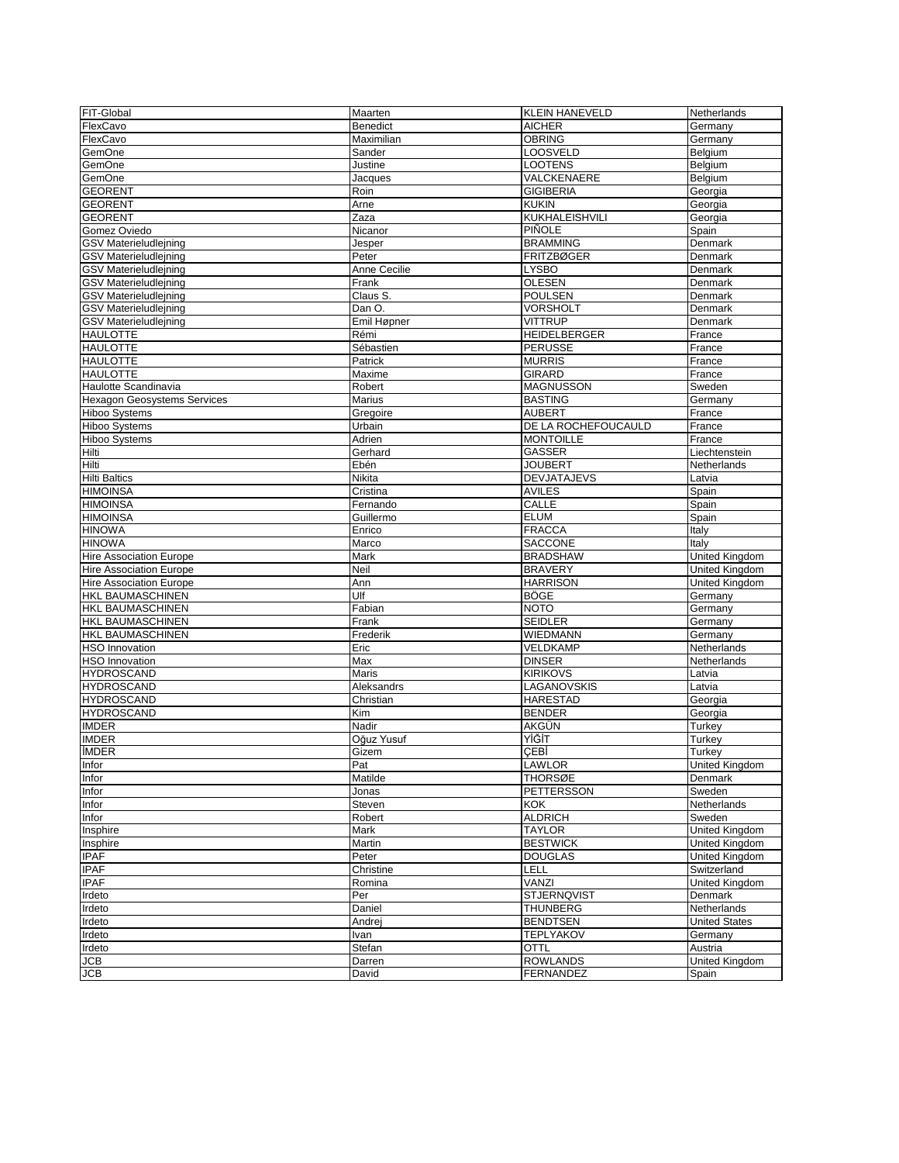| FIT-Global                         | Maarten          | <b>KLEIN HANEVELD</b>    | Netherlands           |
|------------------------------------|------------------|--------------------------|-----------------------|
| FlexCavo                           | Benedict         | <b>AICHER</b>            | Germany               |
| FlexCavo                           | Maximilian       | <b>OBRING</b>            | Germany               |
| GemOne                             | Sander           | <b>LOOSVELD</b>          | Belgium               |
| GemOne                             | Justine          | <b>LOOTENS</b>           | Belgium               |
| GemOne                             | Jacques          | VALCKENAERE              | Belgium               |
| <b>GEORENT</b>                     | Roin             | <b>GIGIBERIA</b>         | Georgia               |
| <b>GEORENT</b>                     | Arne             | <b>KUKIN</b>             | Georgia               |
| <b>GEORENT</b>                     | Zaza             | KUKHALEISHVILI           | Georgia               |
| Gomez Oviedo                       | Nicanor          | PIÑOLE                   | Spain                 |
| <b>GSV Materieludlejning</b>       | Jesper           | <b>BRAMMING</b>          | Denmark               |
| <b>GSV</b> Materieludlejning       | Peter            | <b>FRITZBØGER</b>        | Denmark               |
| <b>GSV Materieludlejning</b>       | Anne Cecilie     | <b>LYSBO</b>             | Denmark               |
| <b>GSV Materieludlejning</b>       | Frank            | <b>OLESEN</b>            | Denmark               |
| <b>GSV Materieludlejning</b>       | Claus S.         | POULSEN                  | Denmark               |
| <b>GSV Materieludlejning</b>       | Dan O.           | <b>VORSHOLT</b>          | Denmark               |
| <b>GSV Materieludlejning</b>       | Emil Høpner      | <b>VITTRUP</b>           | Denmark               |
| <b>HAULOTTE</b>                    | Rémi             | <b>HEIDELBERGER</b>      | France                |
| <b>HAULOTTE</b>                    | Sébastien        | <b>PERUSSE</b>           | France                |
| <b>HAULOTTE</b>                    | Patrick          | <b>MURRIS</b>            | France                |
| <b>HAULOTTE</b>                    | Maxime           | <b>GIRARD</b>            | France                |
| Haulotte Scandinavia               | Robert           | <b>MAGNUSSON</b>         | Sweden                |
| <b>Hexagon Geosystems Services</b> | Marius           | <b>BASTING</b>           | Germany               |
| <b>Hiboo Systems</b>               | Gregoire         | <b>AUBERT</b>            | France                |
| <b>Hiboo Systems</b>               | Urbain<br>Adrien | DE LA ROCHEFOUCAULD      | France                |
| Hiboo Systems                      |                  | <b>MONTOILLE</b>         | France                |
| Hilti                              | Gerhard          | GASSER<br><b>JOUBERT</b> | Liechtenstein         |
| Hilti<br><b>Hilti Baltics</b>      | Ebén<br>Nikita   | <b>DEVJATAJEVS</b>       | Netherlands<br>Latvia |
| <b>HIMOINSA</b>                    | Cristina         | <b>AVILES</b>            |                       |
| <b>HIMOINSA</b>                    | Fernando         | <b>CALLE</b>             | Spain<br>Spain        |
| <b>HIMOINSA</b>                    | Guillermo        | <b>ELUM</b>              | Spain                 |
| <b>HINOWA</b>                      | Enrico           | <b>FRACCA</b>            | Italy                 |
| <b>HINOWA</b>                      | Marco            | <b>SACCONE</b>           | Italy                 |
| <b>Hire Association Europe</b>     | Mark             | <b>BRADSHAW</b>          | United Kingdom        |
| <b>Hire Association Europe</b>     | Neil             | <b>BRAVERY</b>           | United Kingdom        |
| <b>Hire Association Europe</b>     | Ann              | <b>HARRISON</b>          | United Kingdom        |
| HKL BAUMASCHINEN                   | Ulf              | <b>BÖGE</b>              | Germany               |
| HKL BAUMASCHINEN                   | Fabian           | <b>NOTO</b>              | Germany               |
| HKL BAUMASCHINEN                   | Frank            | <b>SEIDLER</b>           | Germany               |
| <b>HKL BAUMASCHINEN</b>            | Frederik         | <b>WIEDMANN</b>          | Germany               |
| <b>HSO</b> Innovation              | Eric             | VELDKAMP                 | Netherlands           |
| <b>HSO Innovation</b>              | Max              | <b>DINSER</b>            | Netherlands           |
| <b>HYDROSCAND</b>                  | Maris            | <b>KIRIKOVS</b>          | Latvia                |
| <b>HYDROSCAND</b>                  | Aleksandrs       | LAGANOVSKIS              | Latvia                |
| <b>HYDROSCAND</b>                  | Christian        | <b>HARESTAD</b>          | Georgia               |
| <b>HYDROSCAND</b>                  | Kim              | <b>BENDER</b>            | Georgia               |
| <b>IMDER</b>                       | Nadir            | AKGÜN                    | Turkey                |
| <b>IMDER</b>                       | Oğuz Yusuf       | YİĞİT                    | Turkey                |
| <b>IMDER</b>                       | Gizem            | CEBİ                     | Turkey                |
| Infor                              | Pat              | LAWLOR                   | United Kingdom        |
| Infor                              | Matilde          | <b>THORSØE</b>           | Denmark               |
| Infor                              | Jonas            | PETTERSSON               | Sweden                |
| Infor                              | Steven           | KOK                      | Netherlands           |
| Infor                              | Robert           | <b>ALDRICH</b>           | Sweden                |
| Insphire                           | Mark             | <b>TAYLOR</b>            | <b>United Kingdom</b> |
| Insphire                           | Martin           | <b>BESTWICK</b>          | United Kingdom        |
| <b>IPAF</b>                        | Peter            | <b>DOUGLAS</b>           | United Kingdom        |
| <b>IPAF</b>                        | Christine        | LELL                     | Switzerland           |
| <b>IPAF</b>                        | Romina           | VANZI                    | <b>United Kinadom</b> |
| Irdeto                             | Per              | <b>STJERNQVIST</b>       | Denmark               |
| Irdeto                             | Daniel           | <b>THUNBERG</b>          | Netherlands           |
| Irdeto                             | Andrej           | <b>BENDTSEN</b>          | <b>United States</b>  |
| Irdeto                             | Ivan             | <b>TEPLYAKOV</b>         | Germany               |
| Irdeto                             | Stefan           | <b>OTTL</b>              | Austria               |
| JCB                                | Darren           | <b>ROWLANDS</b>          | United Kingdom        |
| JCB                                | David            | <b>FERNANDEZ</b>         | Spain                 |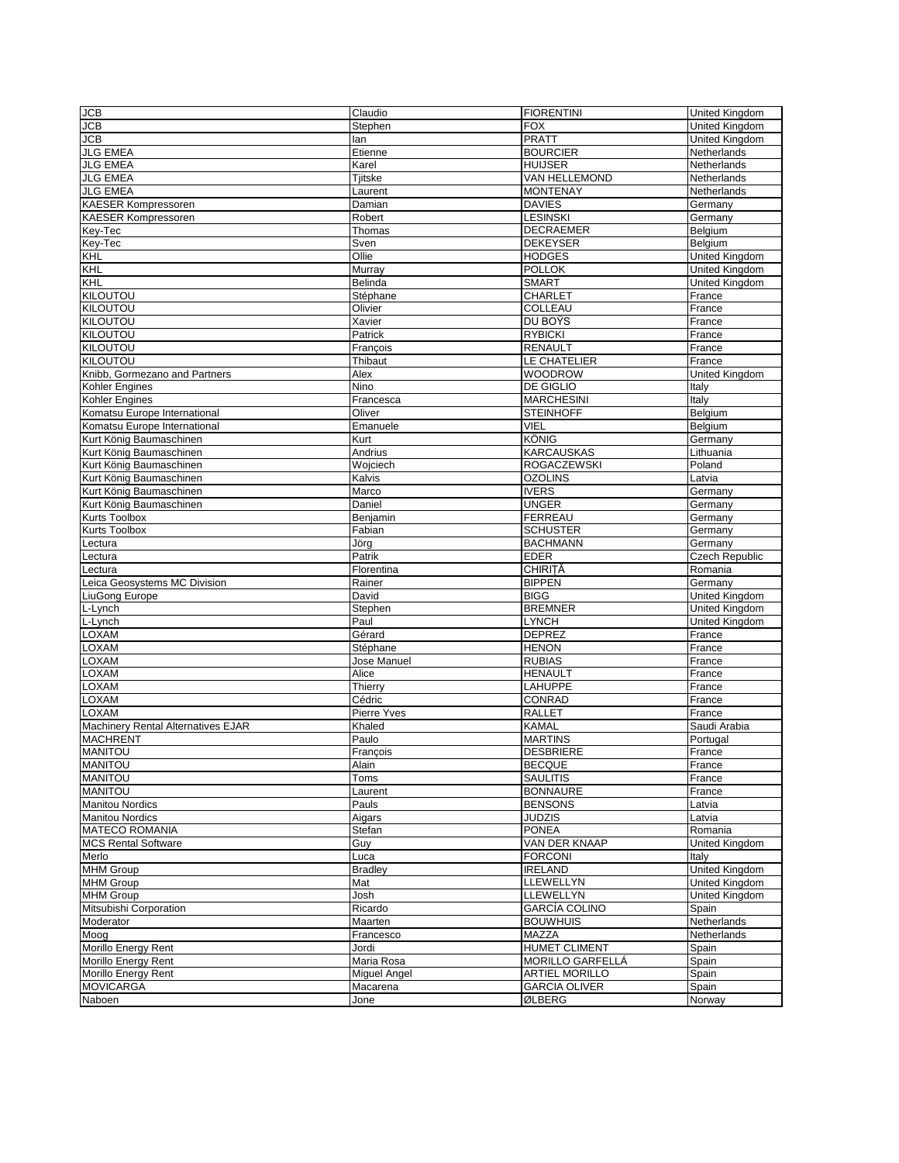| <b>JCB</b>                         | Claudio        | <b>FIORENTINI</b>        | <b>United Kingdom</b>   |
|------------------------------------|----------------|--------------------------|-------------------------|
| <b>JCB</b>                         | Stephen        | <b>FOX</b>               | <b>United Kingdom</b>   |
| <b>JCB</b>                         | lan            | <b>PRATT</b>             | United Kingdom          |
| <b>JLG EMEA</b>                    | Etienne        | <b>BOURCIER</b>          | Netherlands             |
| <b>JLG EMEA</b>                    | Karel          | <b>HUIJSER</b>           | Netherlands             |
| <b>JLG EMEA</b>                    | Tjitske        | VAN HELLEMOND            | Netherlands             |
| <b>JLG EMEA</b>                    | Laurent        | <b>MONTENAY</b>          | Netherlands             |
| KAESER Kompressoren                | Damian         | <b>DAVIES</b>            | Germany                 |
| <b>KAESER Kompressoren</b>         | Robert         | <b>LESINSKI</b>          | Germany                 |
| Key-Tec                            | Thomas         | <b>DECRAEMER</b>         | Belgium                 |
| Key-Tec                            | Sven           | <b>DEKEYSER</b>          | Belgium                 |
| KHL                                | Ollie          | <b>HODGES</b>            | <b>United Kingdom</b>   |
| <b>KHL</b>                         | Murray         | <b>POLLOK</b>            | United Kingdom          |
| KHL                                | Belinda        | <b>SMART</b>             | <b>United Kingdom</b>   |
| <b>KILOUTOU</b>                    | Stéphane       | <b>CHARLET</b>           | France                  |
| <b>KILOUTOU</b>                    | Olivier        | COLLEAU                  | France                  |
| KILOUTOU                           | Xavier         | DU BOŸS                  | France                  |
| <b>KILOUTOU</b>                    | Patrick        | <b>RYBICKI</b>           | France                  |
| <b>KILOUTOU</b>                    | François       | <b>RENAULT</b>           | France                  |
| KILOUTOU                           | Thibaut        | LE CHATELIER             | France                  |
| Knibb, Gormezano and Partners      | Alex           | WOODROW                  | United Kingdom          |
| Kohler Engines                     | Nino           | DE GIGLIO                | Italy                   |
| Kohler Engines                     | Francesca      | <b>MARCHESINI</b>        | Italy                   |
| Komatsu Europe International       | Oliver         | <b>STEINHOFF</b>         | Belgium                 |
| Komatsu Europe International       | Emanuele       | VIEL                     | Belgium                 |
| Kurt König Baumaschinen            | Kurt           | <b>KÖNIG</b>             | Germany                 |
| Kurt König Baumaschinen            | Andrius        | <b>KARCAUSKAS</b>        | Lithuania               |
| Kurt König Baumaschinen            | Wojciech       | <b>ROGACZEWSKI</b>       | Poland                  |
| Kurt König Baumaschinen            | Kalvis         | <b>OZOLINS</b>           | Latvia                  |
| Kurt König Baumaschinen            | Marco          | <b>IVERS</b>             | Germany                 |
| Kurt König Baumaschinen            | Daniel         | <b>UNGER</b>             | Germany                 |
| Kurts Toolbox                      | Benjamin       | <b>FERREAU</b>           | Germany                 |
| Kurts Toolbox                      | Fabian         | <b>SCHUSTER</b>          | Germany                 |
| Lectura                            | Jörg           | <b>BACHMANN</b>          | Germany                 |
| Lectura                            | Patrik         | <b>EDER</b>              | <b>Czech Republic</b>   |
| Lectura                            | Florentina     | <b>CHIRITĂ</b>           | Romania                 |
| Leica Geosystems MC Division       | Rainer         | <b>BIPPEN</b>            | Germany                 |
| LiuGong Europe                     | David          | <b>BIGG</b>              | United Kingdom          |
| L-Lynch                            | Stephen        | <b>BREMNER</b>           | United Kingdom          |
| L-Lynch                            | Paul           | <b>LYNCH</b>             | United Kingdom          |
| <b>LOXAM</b>                       | Gérard         | <b>DEPREZ</b>            | France                  |
| LOXAM                              | Stéphane       | <b>HENON</b>             | France                  |
| LOXAM                              | Jose Manuel    | <b>RUBIAS</b>            | France                  |
| LOXAM                              | Alice          | <b>HENAULT</b>           | France                  |
| <b>LOXAM</b>                       | Thierry        | LAHUPPE                  | France                  |
| <b>LOXAM</b>                       | Cédric         | CONRAD                   | France                  |
| LOXAM                              | Pierre Yves    | <b>RALLET</b>            | France                  |
| Machinery Rental Alternatives EJAR | Khaled         | <b>KAMAL</b>             | Saudi Arabia            |
| <b>MACHRENT</b>                    | Paulo          | <b>MARTINS</b>           | Portugal                |
| <b>MANITOU</b>                     | Francois       | <b>DESBRIERE</b>         | France                  |
| <b>MANITOU</b>                     |                | <b>BECQUE</b>            |                         |
| <b>MANITOU</b>                     | Alain<br>Toms  | <b>SAULITIS</b>          | <b>France</b><br>France |
| <b>MANITOU</b>                     | Laurent        | <b>BONNAURE</b>          | France                  |
| <b>Manitou Nordics</b>             | Pauls          | <b>BENSONS</b>           | Latvia                  |
| <b>Manitou Nordics</b>             | Aigars         | JUDZIS                   | Latvia                  |
| <b>MATECO ROMANIA</b>              | Stefan         | <b>PONEA</b>             | Romania                 |
| <b>MCS Rental Software</b>         | Guy            | VAN DER KNAAP            | United Kingdom          |
| Merlo                              | Luca           | <b>FORCONI</b>           | Italy                   |
| MHM Group                          | <b>Bradley</b> | <b>IRELAND</b>           | United Kingdom          |
| <b>MHM Group</b>                   | Mat            | LLEWELLYN                | <b>United Kinadom</b>   |
| <b>MHM Group</b>                   | Josh           | LLEWELLYN                | United Kingdom          |
|                                    | Ricardo        | <b>GARCÍA COLINO</b>     |                         |
| Mitsubishi Corporation             |                |                          | Spain                   |
| Moderator                          | Maarten        | <b>BOUWHUIS</b><br>MAZZA | Netherlands             |
| Moog<br>Morillo Energy Rent        | Francesco      | <b>HUMET CLIMENT</b>     | Netherlands             |
|                                    | Jordi          | MORILLO GARFELLÁ         | Spain                   |
| Morillo Energy Rent                | Maria Rosa     |                          | Spain                   |
| Morillo Energy Rent                | Miguel Angel   | <b>ARTIEL MORILLO</b>    | Spain                   |
| <b>MOVICARGA</b>                   | Macarena       | <b>GARCIA OLIVER</b>     | Spain                   |
| Naboen                             | Jone           | ØLBERG                   | Norway                  |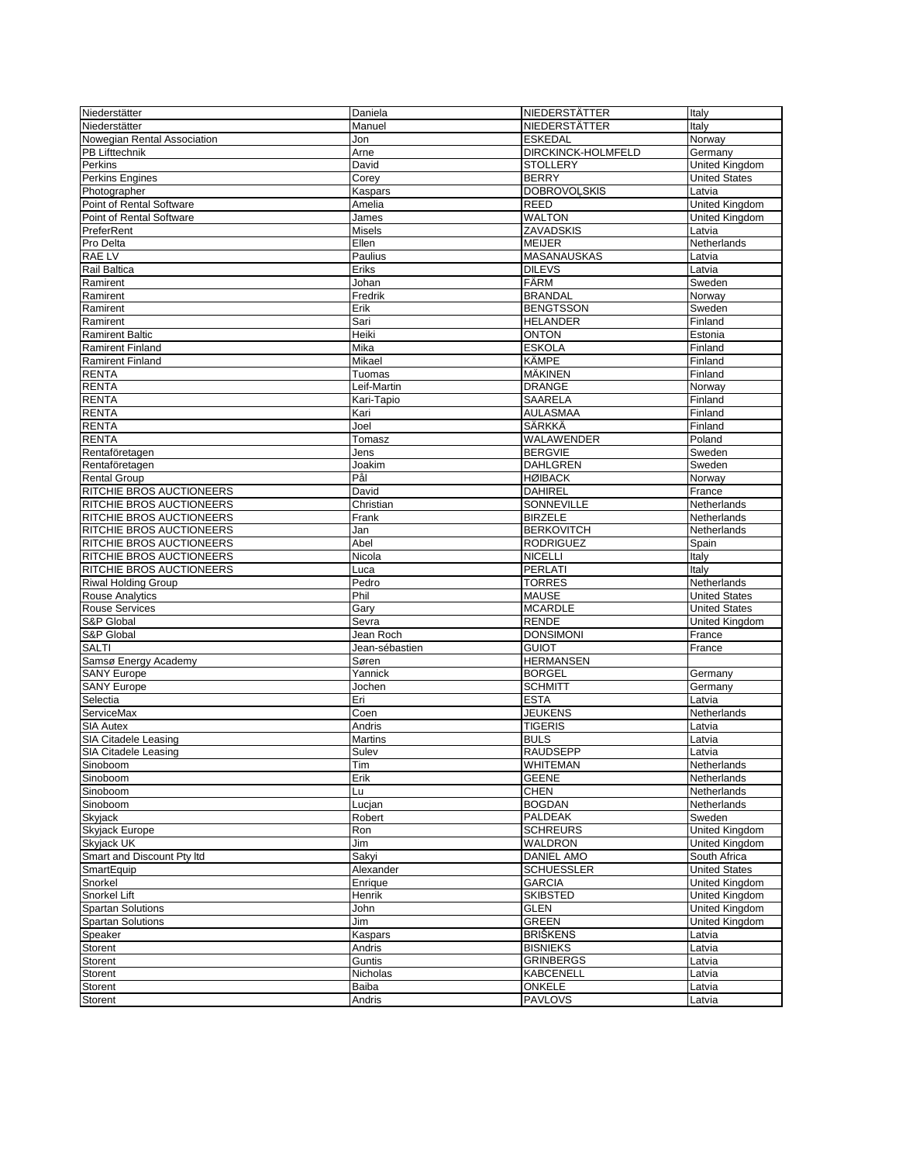| Niederstätter               | Daniela        | NIEDERSTÄTTER       | Italy                 |
|-----------------------------|----------------|---------------------|-----------------------|
| Niederstätter               | Manuel         | NIEDERSTÄTTER       | Italy                 |
| Nowegian Rental Association | Jon            | <b>ESKEDAL</b>      | Norway                |
| PB Lifttechnik              | Arne           | DIRCKINCK-HOLMFELD  | Germany               |
| Perkins                     | David          | <b>STOLLERY</b>     | United Kingdom        |
| <b>Perkins Engines</b>      | Corey          | <b>BERRY</b>        | <b>United States</b>  |
| Photographer                | Kaspars        | <b>DOBROVOLSKIS</b> | Latvia                |
| Point of Rental Software    | Amelia         | <b>REED</b>         | United Kingdom        |
| Point of Rental Software    | James          | <b>WALTON</b>       | <b>United Kingdom</b> |
| PreferRent                  | Misels         | ZAVADSKIS           | Latvia                |
| Pro Delta                   | Ellen          | <b>MEIJER</b>       | Netherlands           |
| <b>RAE LV</b>               | Paulius        | MASANAUSKAS         | Latvia                |
| Rail Baltica                | Eriks          | <b>DILEVS</b>       | Latvia                |
| Ramirent                    | Johan          | FÄRM                | Sweden                |
| Ramirent                    | Fredrik        | <b>BRANDAL</b>      | Norway                |
| Ramirent                    | Erik           | <b>BENGTSSON</b>    | Sweden                |
| Ramirent                    | Sari           | <b>HELANDER</b>     | Finland               |
| <b>Ramirent Baltic</b>      | Heiki          | <b>ONTON</b>        | Estonia               |
| <b>Ramirent Finland</b>     | Mika           | <b>ESKOLA</b>       | Finland               |
| <b>Ramirent Finland</b>     | Mikael         | KÄMPE               | Finland               |
| <b>RENTA</b>                | Tuomas         | MÄKINEN             | Finland               |
| <b>RENTA</b>                | Leif-Martin    | <b>DRANGE</b>       | Norway                |
| <b>RENTA</b>                |                | SAARELA             | Finland               |
| <b>RENTA</b>                | Kari-Tapio     | <b>AULASMAA</b>     | Finland               |
| <b>RENTA</b>                | Kari<br>Joel   | SÄRKKÄ              | Finland               |
| <b>RENTA</b>                | Tomasz         | <b>WALAWENDER</b>   | Poland                |
|                             |                |                     |                       |
| Rentaföretagen              | Jens           | <b>BERGVIE</b>      | Sweden                |
| Rentaföretagen              | Joakim         | <b>DAHLGREN</b>     | Sweden                |
| <b>Rental Group</b>         | Pål            | <b>HØIBACK</b>      | Norway                |
| RITCHIE BROS AUCTIONEERS    | David          | <b>DAHIREL</b>      | France                |
| RITCHIE BROS AUCTIONEERS    | Christian      | <b>SONNEVILLE</b>   | Netherlands           |
| RITCHIE BROS AUCTIONEERS    | Frank          | <b>BIRZELE</b>      | Netherlands           |
| RITCHIE BROS AUCTIONEERS    | Jan            | <b>BERKOVITCH</b>   | Netherlands           |
| RITCHIE BROS AUCTIONEERS    | Abel           | <b>RODRIGUEZ</b>    | Spain                 |
| RITCHIE BROS AUCTIONEERS    | Nicola         | <b>NICELLI</b>      | Italy                 |
| RITCHIE BROS AUCTIONEERS    | Luca           | <b>PERLATI</b>      | Italy                 |
| <b>Riwal Holding Group</b>  | Pedro          | <b>TORRES</b>       | Netherlands           |
| <b>Rouse Analytics</b>      | Phil           | <b>MAUSE</b>        | <b>United States</b>  |
| <b>Rouse Services</b>       | Gary           | <b>MCARDLE</b>      | <b>United States</b>  |
| S&P Global                  | Sevra          | <b>RENDE</b>        | United Kingdom        |
| S&P Global                  | Jean Roch      | <b>DONSIMONI</b>    | France                |
| <b>SALTI</b>                | Jean-sébastien | <b>GUIOT</b>        | France                |
| Samsø Energy Academy        | Søren          | <b>HERMANSEN</b>    |                       |
| <b>SANY Europe</b>          | Yannick        | <b>BORGEL</b>       | Germany               |
| <b>SANY Europe</b>          | Jochen         | <b>SCHMITT</b>      | Germany               |
| Selectia                    | Eri            | <b>ESTA</b>         | Latvia                |
| ServiceMax                  | Coen           | <b>JEUKENS</b>      | Netherlands           |
| <b>SIA Autex</b>            | Andris         | <b>TIGERIS</b>      | Latvia                |
| SIA Citadele Leasing        | Martins        | <b>BULS</b>         | Latvia                |
| SIA Citadele Leasing        | Sulev          | <b>RAUDSEPP</b>     | Latvia                |
| Sinoboom                    | Tim            | WHITEMAN            | Netherlands           |
| Sinoboom                    | Erik           | <b>GEENE</b>        | Netherlands           |
| Sinoboom                    | Lu             | <b>CHEN</b>         | Netherlands           |
| Sinoboom                    | Lucjan         | <b>BOGDAN</b>       | Netherlands           |
| Skyjack                     | Robert         | PALDEAK             | Sweden                |
| Skyjack Europe              | Ron            | <b>SCHREURS</b>     | <b>United Kingdom</b> |
| Skyjack UK                  | Jim            | WALDRON             | United Kingdom        |
| Smart and Discount Pty Itd  | Sakyi          | <b>DANIEL AMO</b>   | South Africa          |
| SmartEquip                  | Alexander      | <b>SCHUESSLER</b>   | <b>United States</b>  |
| Snorkel                     | Enrique        | <b>GARCIA</b>       | <b>United Kinadom</b> |
| Snorkel Lift                | Henrik         | <b>SKIBSTED</b>     | United Kingdom        |
| <b>Spartan Solutions</b>    | John           | <b>GLEN</b>         | <b>United Kingdom</b> |
| <b>Spartan Solutions</b>    | Jim            | <b>GREEN</b>        | United Kingdom        |
| Speaker                     | Kaspars        | <b>BRIŠKENS</b>     | Latvia                |
| Storent                     | Andris         | <b>BISNIEKS</b>     | Latvia                |
| Storent                     | Guntis         | <b>GRINBERGS</b>    | Latvia                |
| Storent                     | Nicholas       | <b>KABCENELL</b>    | Latvia                |
| Storent                     | Baiba          | ONKELE              | Latvia                |
| Storent                     | Andris         | <b>PAVLOVS</b>      | Latvia                |